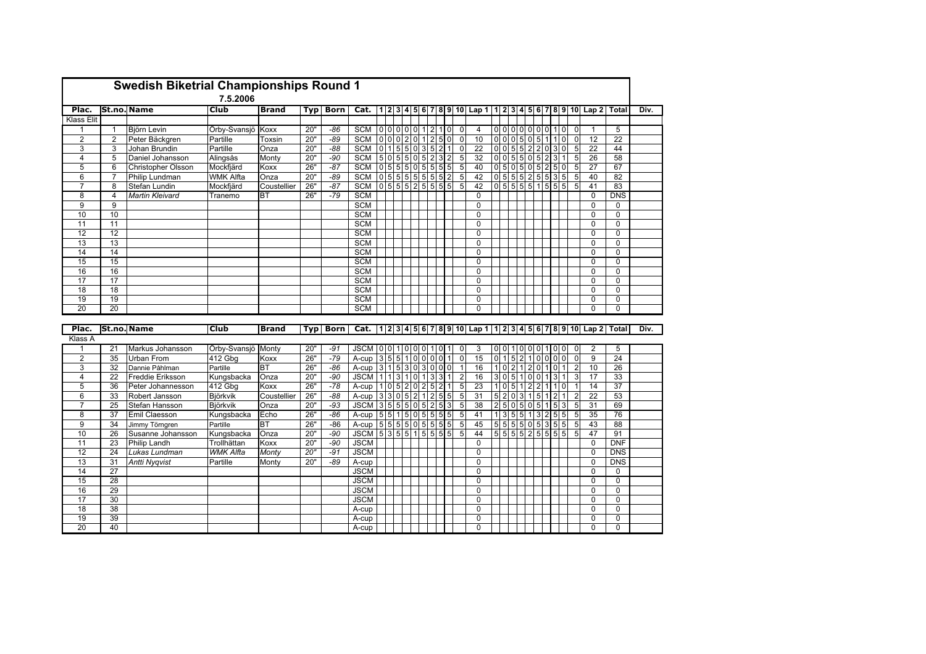|                 |                | <b>Swedish Biketrial Championships Round 1</b> |                  |              |     |             |                   |                 |  |               |           |                 |                                  |                |                                                                |                |                 |                                  |                         |    |                       |                |                |                 |                 |      |
|-----------------|----------------|------------------------------------------------|------------------|--------------|-----|-------------|-------------------|-----------------|--|---------------|-----------|-----------------|----------------------------------|----------------|----------------------------------------------------------------|----------------|-----------------|----------------------------------|-------------------------|----|-----------------------|----------------|----------------|-----------------|-----------------|------|
|                 |                |                                                | 7.5.2006         |              |     |             |                   |                 |  |               |           |                 |                                  |                |                                                                |                |                 |                                  |                         |    |                       |                |                |                 |                 |      |
| Plac.           |                | <b>St.no. Name</b>                             | Club             | <b>Brand</b> | Typ | Born        | Cat.              |                 |  |               |           |                 |                                  |                | 1 2 3 4 5 6 7 8 9 10  Lap 1 1 2 3 4 5 6 7 8 9 10  Lap 2  Total |                |                 |                                  |                         |    |                       |                |                |                 |                 | Div. |
| Klass Elit      |                |                                                |                  |              |     |             |                   |                 |  |               |           |                 |                                  |                |                                                                |                |                 |                                  |                         |    |                       |                |                |                 |                 |      |
| $\mathbf{1}$    | $\overline{1}$ | Björn Levin                                    | Örby-Svansjö     | Koxx         | 20" | -86         | <b>SCM</b>        |                 |  | 0 0 0 0 0 1 2 |           |                 | $\mathbf{1}$<br>$\overline{0}$   | $\mathbf 0$    | $\overline{4}$                                                 |                | 000000001       |                                  |                         |    | $\overline{0}$        |                | $\mathbf 0$    | $\mathbf{1}$    | $\overline{5}$  |      |
| $\overline{2}$  | $\overline{2}$ | Peter Bäckgren                                 | Partille         | Toxsin       | 20" | $-89$       | <b>SCM</b>        |                 |  | 0 0 0 2 0 1   |           | $\overline{2}$  | $\overline{5}$<br>$\pmb{0}$      | $\mathbf 0$    | 10                                                             |                | 0 0 0 5         |                                  | 0 <sub>5</sub>          | 11 | $\mathbf{1}$          | $\overline{0}$ | $\mathbf 0$    | $\overline{12}$ | $\overline{22}$ |      |
| 3               | 3              | Johan Brundin                                  | Partille         | Onza         | 20" | $-88$       | <b>SCM</b>        |                 |  | 0 1 5 5 0 35  |           |                 | $\overline{2}$<br>$\mathbf{1}$   | $\mathbf 0$    | 22                                                             |                | 0 0 5 5 2 2 0 3 |                                  |                         |    | $\mathbf 0$           |                | 5              | 22              | 44              |      |
| $\overline{4}$  | 5              | Daniel Johansson                               | Alingsås         | <b>Monty</b> | 20" | -90         | <b>SCM</b>        |                 |  | 5 0 5 5 0 5   |           | $\mathbf{2}$    | 3<br>$\overline{\mathbf{c}}$     | 5              | 32                                                             |                | 0 0 5 5 0 5 2 3 |                                  |                         |    |                       | 1              | 5              | 26              | 58              |      |
| 5               | 6              | <b>Christopher Olsson</b>                      | Mockfjärd        | Koxx         | 26" | $-87$       | <b>SCM</b>        |                 |  | 0 5 5 5 0 5   |           | $\overline{5}$  | 5<br>5                           | 5              | 40                                                             | $\overline{0}$ | 5 <sup>1</sup>  |                                  | $0 \ 5 \ 0 \ 5 \ 2 \ 5$ |    |                       | $\mathbf 0$    | 5              | 27              | 67              |      |
| 6               | 7              | Philip Lundman                                 | <b>WMK Alfta</b> | Onza         | 20" | $-89$       | <b>SCM</b>        |                 |  | 0 5 5 5 55 5  |           |                 | 5 <sup>1</sup><br>$\overline{2}$ | 5              | 42                                                             |                | 0 5 5 5 2 5 53  |                                  |                         |    |                       | 5              | 5              | 40              | $\overline{82}$ |      |
| $\overline{7}$  | 8              | Stefan Lundin                                  | Mockfjärd        | Coustellier  | 26" | $-87$       | <b>SCM</b>        |                 |  |               |           |                 | 0 5 5 5 25 55 5                  | 5              | 42                                                             |                |                 |                                  |                         |    | 0 5 5 5 5 1 5 55      |                | 5              | 41              | 83              |      |
| 8               | 4              | Martin Kleivard                                | Tranemo          | <b>BT</b>    | 26" | $-79$       | <b>SCM</b>        |                 |  |               |           |                 |                                  |                | $\mathbf 0$                                                    |                |                 |                                  |                         |    |                       |                |                | $\mathbf 0$     | <b>DNS</b>      |      |
| 9               | 9              |                                                |                  |              |     |             | <b>SCM</b>        |                 |  |               |           |                 |                                  |                | $\mathbf 0$                                                    |                |                 |                                  |                         |    |                       |                |                | $\mathbf 0$     | 0               |      |
| 10              | 10             |                                                |                  |              |     |             | <b>SCM</b>        |                 |  |               |           |                 |                                  |                | $\mathbf 0$                                                    |                |                 |                                  |                         |    |                       |                |                | $\mathbf 0$     | 0               |      |
| 11              | 11             |                                                |                  |              |     |             | <b>SCM</b>        |                 |  |               |           |                 |                                  |                | $\mathbf 0$                                                    |                |                 |                                  |                         |    |                       |                |                | $\Omega$        | $\Omega$        |      |
| 12              | 12             |                                                |                  |              |     |             | <b>SCM</b>        |                 |  |               |           |                 |                                  |                | $\overline{0}$                                                 |                |                 |                                  |                         |    |                       |                |                | $\overline{0}$  | $\overline{0}$  |      |
| 13              | 13             |                                                |                  |              |     |             | <b>SCM</b>        |                 |  |               |           |                 |                                  |                | $\mathbf 0$                                                    |                |                 |                                  |                         |    |                       |                |                | $\mathbf 0$     | $\overline{0}$  |      |
| $\overline{14}$ | 14             |                                                |                  |              |     |             | <b>SCM</b>        |                 |  |               |           |                 |                                  |                | $\mathbf{0}$                                                   |                |                 |                                  |                         |    |                       |                |                | $\Omega$        | $\Omega$        |      |
| 15              | 15             |                                                |                  |              |     |             | <b>SCM</b>        |                 |  |               |           |                 |                                  |                | $\Omega$                                                       |                |                 |                                  |                         |    |                       |                |                | $\Omega$        | $\Omega$        |      |
| 16              | 16             |                                                |                  |              |     |             | <b>SCM</b>        |                 |  |               |           |                 |                                  |                | $\Omega$                                                       |                |                 |                                  |                         |    |                       |                |                | $\Omega$        | 0               |      |
| 17              | 17             |                                                |                  |              |     |             | <b>SCM</b>        |                 |  |               |           |                 |                                  |                | 0                                                              |                |                 |                                  |                         |    |                       |                |                | $\Omega$        | 0               |      |
| 18              | 18             |                                                |                  |              |     |             | <b>SCM</b>        |                 |  |               |           |                 |                                  |                | $\Omega$                                                       |                |                 |                                  |                         |    |                       |                |                | $\Omega$        | $\mathbf 0$     |      |
| $\overline{19}$ | 19             |                                                |                  |              |     |             | <b>SCM</b>        |                 |  |               |           |                 |                                  |                | $\Omega$                                                       |                |                 |                                  |                         |    |                       |                |                | $\Omega$        | 0               |      |
| 20              | 20             |                                                |                  |              |     |             | <b>SCM</b>        |                 |  |               |           |                 |                                  |                | 0                                                              |                |                 |                                  |                         |    |                       |                |                | $\Omega$        | 0               |      |
|                 |                |                                                |                  |              |     |             |                   |                 |  |               |           |                 |                                  |                |                                                                |                |                 |                                  |                         |    |                       |                |                |                 |                 |      |
| Plac.           |                | <b>St.no. Name</b>                             | <b>Club</b>      | <b>Brand</b> | Typ | <b>Born</b> | Cat.              |                 |  |               |           |                 |                                  |                | $1 2 3 4 5 6 7 8 9 10 $ Lap $1 1 2 3 4 5 6 7 8$                |                |                 |                                  |                         |    |                       |                |                | 9 10 Lap 2      | Total           | Div. |
| Klass A         |                |                                                |                  |              |     |             |                   |                 |  |               |           |                 |                                  |                |                                                                |                |                 |                                  |                         |    |                       |                |                |                 |                 |      |
| 1               | 21             | Markus Johansson                               | Örby-Svansjö     | Monty        | 20" | $-91$       | <b>JSCM</b>       |                 |  | 0011000       |           | 1               | $\Omega$                         | $\mathbf 0$    | 3                                                              | 0 <sub>0</sub> |                 | $\Omega$                         | 0 <sub>0</sub>          |    | $\Omega$              | $\Omega$       | $\Omega$       | $\overline{2}$  | 5               |      |
| $\overline{2}$  | 35             | <b>Urban From</b>                              | 412 Gbg          | Koxx         | 26" | $-79$       | A-cup             | $3\overline{5}$ |  | 5100          |           | $\mathbf{0}$    | $\mathbf 0$<br>$\mathbf{1}$      | $\overline{0}$ | 15                                                             | $\overline{0}$ | $\mathbf{1}$    | 5 <sub>5</sub><br>$\overline{2}$ | 10                      |    | 0 <sub>0</sub>        | $\overline{0}$ | $\mathbf 0$    | 9               | $\overline{24}$ |      |
| 3               | 32             | Dannie Påhlman                                 | Partille         | <b>BT</b>    | 26" | $-86$       | A-cup             |                 |  |               |           | 3 1 5 3 0 3 0 0 | $\mathbf 0$                      | $\mathbf{1}$   | 16                                                             | 10             |                 | 211                              | 2 0                     |    | $\mathbf{1}$<br>10    |                | $\overline{2}$ | 10              | 26              |      |
| 4               | 22             | Freddie Eriksson                               | Kungsbacka       | Onza         | 20" | $-90$       | <b>JSCM</b>       |                 |  | 1 1 3 1 0     | $\vert$ 1 | $\mathbf{3}$    | 3<br>$\mathbf{1}$                | $\overline{2}$ | 16                                                             | $\overline{3}$ | $\mathbf 0$     | 5<br>$\vert$ 1                   | 0 <sub>0</sub>          |    | 3<br>1                |                | 3              | 17              | 33              |      |
| 5               | 36             | Peter Johannesson                              | 412 Gbg          | Koxx         | 26" | $-78$       | A-cup             |                 |  | 1 0 5 2 0 2   |           | 5               | $\boldsymbol{2}$                 | 5              | 23                                                             | 10             |                 | 51                               | 2 <sub>2</sub>          |    | $\vert$               | $\mathbf 0$    | $\overline{1}$ | 14              | 37              |      |
| 6               | 33             | Robert Jansson                                 | Björkvik         | Coustellier  | 26" | $-88$       | A-cup             |                 |  | 3 3 0 5 2     |           | $\overline{2}$  | 5<br>5                           | 5              | 31                                                             | $\overline{5}$ | 2 0 3 1         |                                  | 5                       |    | $\overline{2}$        |                | $\overline{2}$ | 22              | 53              |      |
| 7               | 25             | Stefan Hansson                                 | <b>Björkvik</b>  | Onza         | 20" | $-93$       | $JSCM$ 35556052   |                 |  |               |           |                 | 53                               | 5              | 38                                                             | $\overline{2}$ | 5 0 5 0 5 15    |                                  |                         |    |                       | 3              | 5              | 31              | 69              |      |
| 8               | 37             | Emil Claesson                                  | Kungsbacka       | Echo         | 26" | $-86$       | A-cup             |                 |  |               |           |                 | 5511505555                       | 5              | 41                                                             |                | 1355113         |                                  |                         |    | 5<br>$2\vert 5 \vert$ |                | 5              | 35              | 76              |      |
| $\overline{9}$  | 34             | Jimmy Törngren                                 | Partille         | <b>BT</b>    | 26" | $-86$       | A-cup             |                 |  |               |           | 55550555        | 5                                | 5              | 45                                                             |                | 55550535        |                                  |                         |    |                       | 5              | 5              | 43              | 88              |      |
| 10              | 26             | Susanne Johansson                              | Kungsbacka       | Onza         | 20" | $-90$       | $JSCM$ 5355151555 |                 |  |               |           |                 | 5                                | 5              | 44                                                             |                |                 |                                  |                         |    | 555525555             |                | 5              | 47              | 91              |      |
| 11              | 23             | Philip Landh                                   | Trollhättan      | Koxx         | 20" | -90         | <b>JSCM</b>       |                 |  |               |           |                 |                                  |                | $\Omega$                                                       |                |                 |                                  |                         |    |                       |                |                | $\mathbf 0$     | <b>DNF</b>      |      |
| 12              | 24             | Lukas Lundman                                  | <b>WMK Alfta</b> | Monty        | 20" | $-91$       | <b>JSCM</b>       |                 |  |               |           |                 |                                  |                | $\Omega$                                                       |                |                 |                                  |                         |    |                       |                |                | $\Omega$        | <b>DNS</b>      |      |
| $\overline{13}$ | 31             | <b>Antti Nygvist</b>                           | Partille         | Monty        | 20" | -89         | A-cup             |                 |  |               |           |                 |                                  |                | $\Omega$                                                       |                |                 |                                  |                         |    |                       |                |                | $\Omega$        | <b>DNS</b>      |      |
| $\overline{14}$ | 27             |                                                |                  |              |     |             | <b>JSCM</b>       |                 |  |               |           |                 |                                  |                | $\Omega$                                                       |                |                 |                                  |                         |    |                       |                |                | $\Omega$        | $\Omega$        |      |
| 15              | 28             |                                                |                  |              |     |             | <b>JSCM</b>       |                 |  |               |           |                 |                                  |                | $\Omega$                                                       |                |                 |                                  |                         |    |                       |                |                | $\Omega$        | 0               |      |
| 16              | 29             |                                                |                  |              |     |             | <b>JSCM</b>       |                 |  |               |           |                 |                                  |                | $\Omega$                                                       |                |                 |                                  |                         |    |                       |                |                | $\Omega$        | 0               |      |
| 17              | 30             |                                                |                  |              |     |             | <b>JSCM</b>       |                 |  |               |           |                 |                                  |                | $\overline{0}$                                                 |                |                 |                                  |                         |    |                       |                |                | $\mathbf 0$     | 0               |      |
| 18              | 38             |                                                |                  |              |     |             |                   |                 |  |               |           |                 |                                  |                | 0                                                              |                |                 |                                  |                         |    |                       |                |                | $\mathbf 0$     | 0               |      |
| 19              | 39             |                                                |                  |              |     |             | A-cup             |                 |  |               |           |                 |                                  |                |                                                                |                |                 |                                  |                         |    |                       |                |                | $\Omega$        | 0               |      |
| 20              | 40             |                                                |                  |              |     |             | A-cup             |                 |  |               |           |                 |                                  |                | 0<br>$\Omega$                                                  |                |                 |                                  |                         |    |                       |                |                | $\Omega$        | $\Omega$        |      |
|                 |                |                                                |                  |              |     |             | A-cup             |                 |  |               |           |                 |                                  |                |                                                                |                |                 |                                  |                         |    |                       |                |                |                 |                 |      |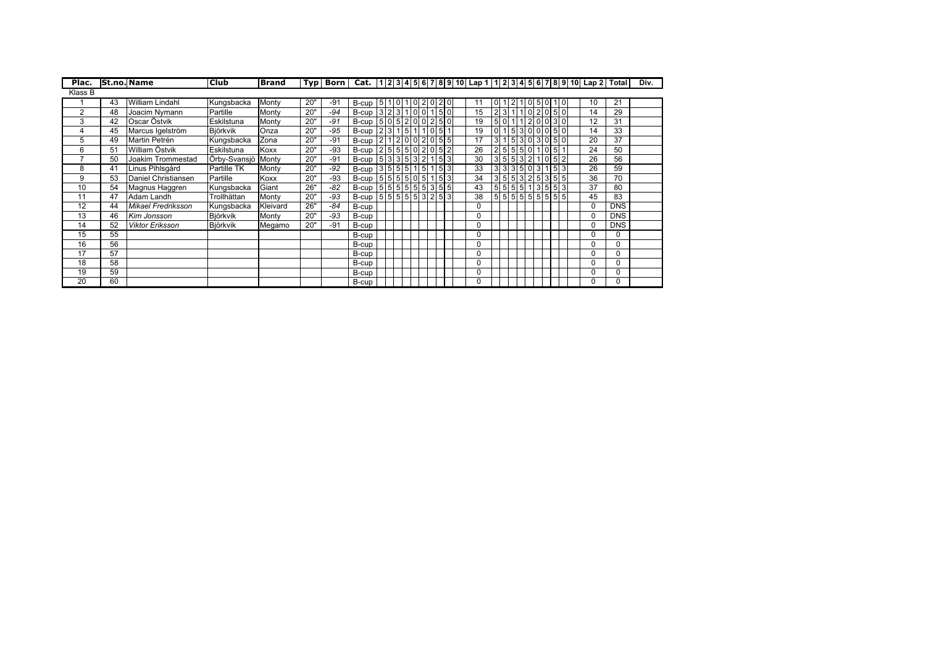| Plac.   | <b>St.no. Name</b> |                           | <b>Club</b>        | <b>Brand</b> |     |       |                                                                                                      |  |  |                            |    |                   |              |               |        |      | Typ   Born   Cat.  1 2 3 4 5 6 7 8 9 10  Lap 1 1 2 3 4 5 6 7 8 9 10  Lap 2  Total |                 | Div. |
|---------|--------------------|---------------------------|--------------------|--------------|-----|-------|------------------------------------------------------------------------------------------------------|--|--|----------------------------|----|-------------------|--------------|---------------|--------|------|-----------------------------------------------------------------------------------|-----------------|------|
| Klass B |                    |                           |                    |              |     |       |                                                                                                      |  |  |                            |    |                   |              |               |        |      |                                                                                   |                 |      |
|         | 43                 | William Lindahl           | Kungsbacka         | Monty        | 20" | $-91$ | B-cup   5   1   0   1   0   2   0   2   0                                                            |  |  |                            |    | 0 1               | $\mathbf{2}$ |               | 105010 |      | 10                                                                                | 21              |      |
| 2       | 48                 | Joacim Nymann             | Partille           | Monty        | 20" | $-94$ | B-cup $3 2 3 1 0 0 1 5 0 $                                                                           |  |  |                            | 15 | 2 3 1 1 0 2 05 0  |              |               |        |      | 14                                                                                | 29              |      |
| 3       | 42                 | Oscar Östvik              | Eskilstuna         | Monty        | 20" | $-91$ | B-cup $ 5 0 5 2 0 0 2 5 0 $                                                                          |  |  |                            | 19 | 5 0               |              | 1 1 2 0 0 3 0 |        |      | 12                                                                                | 31              |      |
| 4       | 45                 | Marcus Igelström          | Björkvik           | Onza         | 20" | $-95$ | B-cup $\left  2 \right  3 \left  1 \right  5 \left  1 \right  1 \left  0 \right  5$                  |  |  | $\mathbf{1}$               | 19 | 0 <sub>1</sub>    |              | 5300050       |        |      | 14                                                                                | 33              |      |
| 5       | 49                 | Martin Petrén             | Kungsbacka         | Zona         | 20" | $-91$ | B-cup $\left  2 \right  1 \left  2 \right  0 \left  0 \right  2 \left  0 \right  5 \left  5 \right $ |  |  |                            | 17 | 3 1 5 3 0 3 0 5 0 |              |               |        |      | 20                                                                                | $\overline{37}$ |      |
| 6       | 51                 | William Östvik            | Eskilstuna         | Koxx         | 20" | $-93$ | B-cup $ 2 5 5 5 0 2 05 2$                                                                            |  |  |                            | 26 | 2 5 5 5 0 1 05 1  |              |               |        |      | 24                                                                                | 50              |      |
| ⇁       | 50                 | Joakim Trommestad         | Örby-Svansjö Monty |              | 20" | $-91$ | B-cup 5 3 3 5 3 2 1 5 3                                                                              |  |  |                            | 30 | 3 5 5 3 2 1       |              |               |        | 0152 | 26                                                                                | 56              |      |
| 8       | 41                 | Linus Pihlsgård           | Partille TK        | Monty        | 20" | $-92$ | B-cup $ 3 5 5 5 1 5 $                                                                                |  |  | $1 \overline{\smash{5}}$ 3 | 33 | 3 3 3 5 0 3 1 5 3 |              |               |        |      | 26                                                                                | 59              |      |
| 9       | 53                 | Daniel Christiansen       | Partille           | Koxx         | 20" | $-93$ | B-cup 5 5 5 5 6 0 5 1 5 3                                                                            |  |  |                            | 34 | 3 5 5 3 2 5 3 5 5 |              |               |        |      | 36                                                                                | 70              |      |
| 10      | 54                 | Magnus Haggren            | Kungsbacka         | Giant        | 26" | $-82$ | B-cup $ 5 5 5 5 5 5 3 55 5$                                                                          |  |  |                            | 43 | 5 5 5 5 1 355 53  |              |               |        |      | 37                                                                                | 80              |      |
| 11      | 47                 | Adam Landh                | Trollhättan        | Monty        | 20" | $-93$ | B-cup 5 5 5 5 5 5 3 2 5 3                                                                            |  |  |                            | 38 | 5555555555        |              |               |        |      | 45                                                                                | 83              |      |
| 12      | 44                 | <b>Mikael Fredriksson</b> | Kungsbacka         | Kleivard     | 26" | $-84$ | B-cup                                                                                                |  |  |                            | 0  |                   |              |               |        |      | 0                                                                                 | <b>DNS</b>      |      |
| 13      | 46                 | Kim Jonsson               | Björkvik           | Monty        | 20" | $-93$ | B-cup                                                                                                |  |  |                            |    |                   |              |               |        |      | 0                                                                                 | <b>DNS</b>      |      |
| 14      | 52                 | <b>Viktor Eriksson</b>    | <b>Björkvik</b>    | Megamo       | 20" | $-91$ | B-cup                                                                                                |  |  |                            | O  |                   |              |               |        |      | 0                                                                                 | <b>DNS</b>      |      |
| 15      | 55                 |                           |                    |              |     |       | B-cup                                                                                                |  |  |                            | 0  |                   |              |               |        |      | 0                                                                                 | 0               |      |
| 16      | 56                 |                           |                    |              |     |       | B-cup                                                                                                |  |  |                            |    |                   |              |               |        |      | 0                                                                                 | $\Omega$        |      |
| 17      | 57                 |                           |                    |              |     |       | B-cup                                                                                                |  |  |                            | 0  |                   |              |               |        |      | 0                                                                                 | 0               |      |
| 18      | 58                 |                           |                    |              |     |       | B-cup                                                                                                |  |  |                            | 0  |                   |              |               |        |      | 0                                                                                 | 0               |      |
| 19      | 59                 |                           |                    |              |     |       | B-cup                                                                                                |  |  |                            |    |                   |              |               |        |      | 0                                                                                 | 0               |      |
| 20      | 60                 |                           |                    |              |     |       | B-cup                                                                                                |  |  |                            |    |                   |              |               |        |      | ŋ                                                                                 | 0               |      |